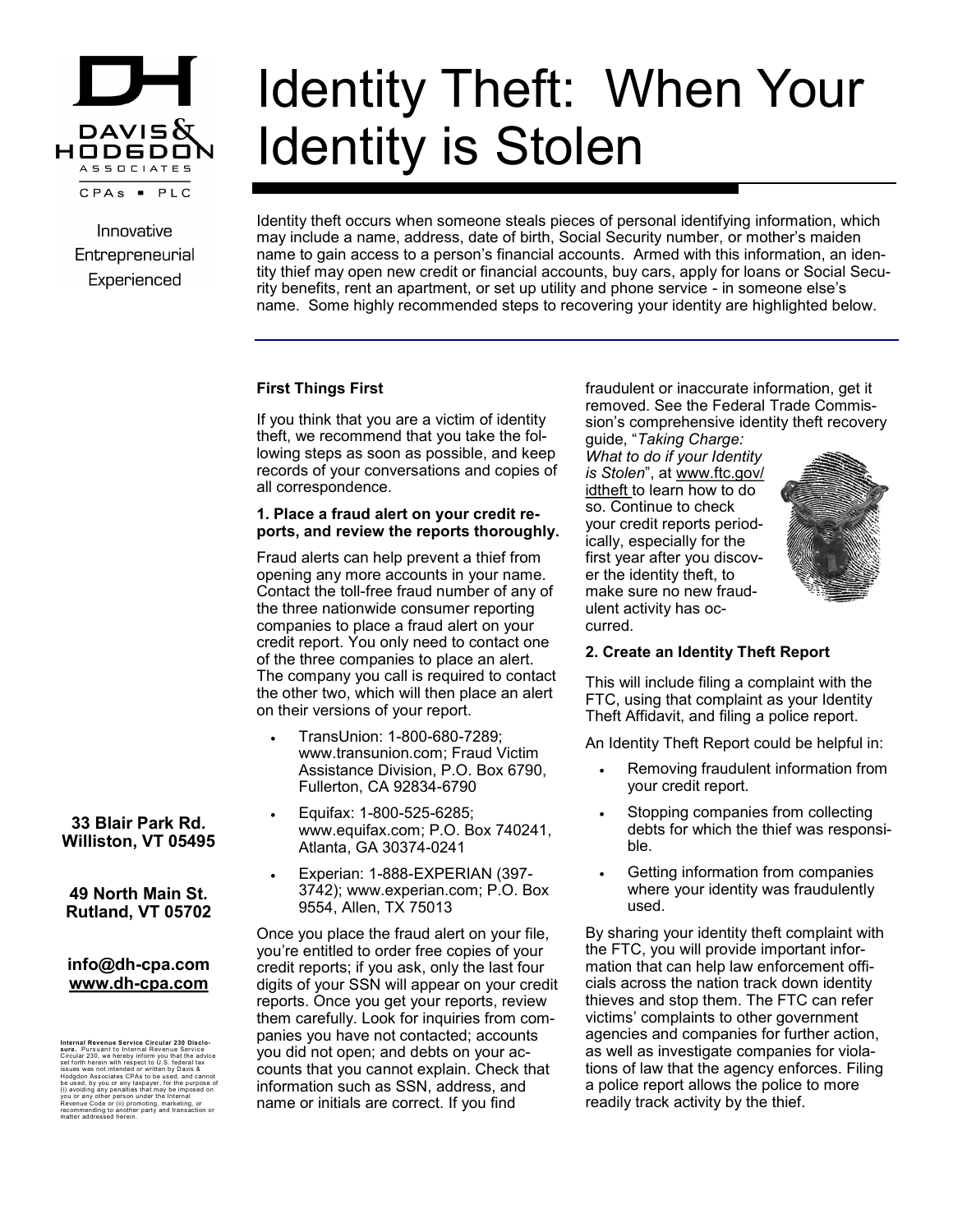

Innovative Entrepreneurial Experienced

# Identity Theft: When Your Identity is Stolen

Identity theft occurs when someone steals pieces of personal identifying information, which may include a name, address, date of birth, Social Security number, or mother's maiden name to gain access to a person's financial accounts. Armed with this information, an identity thief may open new credit or financial accounts, buy cars, apply for loans or Social Security benefits, rent an apartment, or set up utility and phone service - in someone else's name. Some highly recommended steps to recovering your identity are highlighted below.

## **First Things First**

If you think that you are a victim of identity theft, we recommend that you take the following steps as soon as possible, and keep records of your conversations and copies of all correspondence.

#### **1. Place a fraud alert on your credit reports, and review the reports thoroughly.**

Fraud alerts can help prevent a thief from opening any more accounts in your name. Contact the toll-free fraud number of any of the three nationwide consumer reporting companies to place a fraud alert on your credit report. You only need to contact one of the three companies to place an alert. The company you call is required to contact the other two, which will then place an alert on their versions of your report.

- TransUnion: 1-800-680-7289; www.transunion.com; Fraud Victim Assistance Division, P.O. Box 6790, Fullerton, CA 92834-6790
- Equifax: 1-800-525-6285; www.equifax.com; P.O. Box 740241, Atlanta, GA 30374-0241
- Experian: 1-888-EXPERIAN (397- 3742); www.experian.com; P.O. Box 9554, Allen, TX 75013

Once you place the fraud alert on your file, you're entitled to order free copies of your credit reports; if you ask, only the last four digits of your SSN will appear on your credit reports. Once you get your reports, review them carefully. Look for inquiries from companies you have not contacted; accounts you did not open; and debts on your accounts that you cannot explain. Check that information such as SSN, address, and name or initials are correct. If you find

fraudulent or inaccurate information, get it removed. See the Federal Trade Commission's comprehensive identity theft recovery guide, "*Taking Charge:* 

*What to do if your Identity is Stolen*", at www.ftc.gov/ idtheft to learn how to do so. Continue to check your credit reports periodically, especially for the first year after you discover the identity theft, to make sure no new fraudulent activity has occurred.



## **2. Create an Identity Theft Report**

This will include filing a complaint with the FTC, using that complaint as your Identity Theft Affidavit, and filing a police report.

An Identity Theft Report could be helpful in:

- Removing fraudulent information from your credit report.
- Stopping companies from collecting debts for which the thief was responsible.
- Getting information from companies where your identity was fraudulently used.

By sharing your identity theft complaint with the FTC, you will provide important information that can help law enforcement officials across the nation track down identity thieves and stop them. The FTC can refer victims' complaints to other government agencies and companies for further action, as well as investigate companies for violations of law that the agency enforces. Filing a police report allows the police to more readily track activity by the thief.

## **33 Blair Park Rd. Williston, VT 05495**

## **49 North Main St. Rutland, VT 05702**

## **info@dh-cpa.com www.dh-cpa.com**

Internal Revenue Service Circular 230 Disclo-<br>stare. Pursuant to Internal Revenue Service<br>stare. Pursuant to Internal Revenue Service<br>issues was not intended or written by Davis &<br>Hodgdon Associates CPAs to be used, and ca